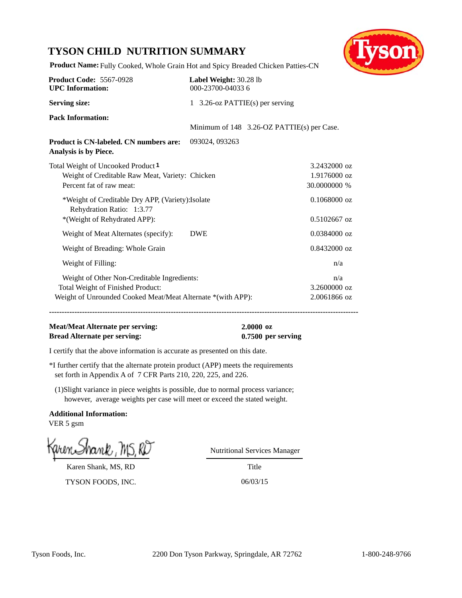# **TYSON CHILD NUTRITION SUMMARY**



**Product Name:** Fully Cooked, Whole Grain Hot and Spicy Breaded Chicken Patties-CN

| <b>Product Code: 5567-0928</b><br><b>UPC</b> Information:                                                                                       | Label Weight: 30.28 lb<br>000-23700-040336 |                |                                            |                                              |
|-------------------------------------------------------------------------------------------------------------------------------------------------|--------------------------------------------|----------------|--------------------------------------------|----------------------------------------------|
| <b>Serving size:</b>                                                                                                                            | 1 3.26-oz PATTIE(s) per serving            |                |                                            |                                              |
| <b>Pack Information:</b>                                                                                                                        |                                            |                | Minimum of 148 3.26-OZ PATTIE(s) per Case. |                                              |
| <b>Product is CN-labeled. CN numbers are:</b><br>Analysis is by Piece.                                                                          |                                            | 093024, 093263 |                                            |                                              |
| Total Weight of Uncooked Product <sup>1</sup><br>Weight of Creditable Raw Meat, Variety: Chicken<br>Percent fat of raw meat:                    |                                            |                |                                            | 3.2432000 oz<br>1.9176000 oz<br>30.0000000 % |
| *Weight of Creditable Dry APP, (Variety): Isolate<br>Rehydration Ratio: 1:3.77<br>*(Weight of Rehydrated APP):                                  |                                            |                |                                            | $0.1068000$ oz<br>$0.5102667$ oz             |
| Weight of Meat Alternates (specify):                                                                                                            |                                            | <b>DWE</b>     |                                            | $0.0384000$ oz                               |
| Weight of Breading: Whole Grain                                                                                                                 |                                            |                |                                            | $0.8432000$ oz                               |
| Weight of Filling:                                                                                                                              |                                            |                |                                            | n/a                                          |
| Weight of Other Non-Creditable Ingredients:<br>Total Weight of Finished Product:<br>Weight of Unrounded Cooked Meat/Meat Alternate *(with APP): |                                            |                |                                            | n/a<br>3.2600000 oz<br>2.0061866 oz          |

**--------------------------------------------------------------------------------------------------------------------------**

### **Meat/Meat Alternate per serving: 2.0000 oz Bread Alternate per serving: 0.7500 per serving**

I certify that the above information is accurate as presented on this date.

\*I further certify that the alternate protein product (APP) meets the requirements set forth in Appendix A of 7 CFR Parts 210, 220, 225, and 226.

(1)Slight variance in piece weights is possible, due to normal process variance; however, average weights per case will meet or exceed the stated weight.

**Additional Information:** VER 5 gsm

Karen Shank, MS, RD

TYSON FOODS, INC. 06/03/15

Nutritional Services Manager

**Title**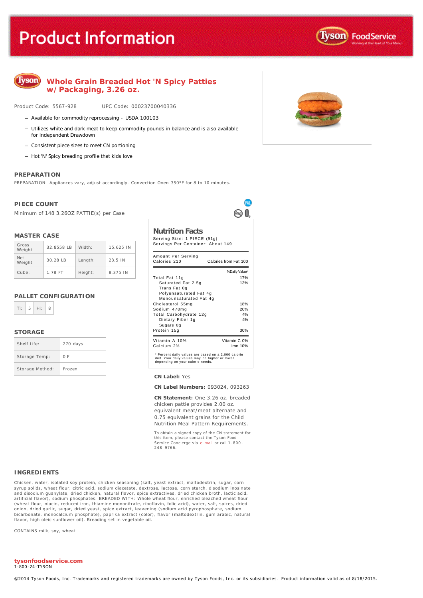# **Product Information**



# **Whole Grain Breaded Hot 'N Spicy Patties w/Packaging, 3.26 oz.**

Product Code: 5567-928 UPC Code: 00023700040336

- Available for commodity reprocessing USDA 100103
- Utilizes white and dark meat to keep commodity pounds in balance and is also available for Independent Drawdown
- Consistent piece sizes to meet CN portioning
- Hot 'N' Spicy breading profile that kids love

#### **PREPARATION**

PREPARATION: Appliances vary, adjust accordingly. Convection Oven 350°F for 8 to 10 minutes.

#### **PIECE COUNT**

Minimum of 148 3.26OZ PATTIE(s) per Case

#### **MASTER CASE**

| Gross<br>Weight | 32.8558 IB | Width:  | 15.625 IN |
|-----------------|------------|---------|-----------|
| Net<br>Weight   | 30.28 IB   | Length: | 23.5 IN   |
| Cube:           | 1.78 FT    | Height: | 8.375 IN  |

#### **PALLET CONFIGURATION**



#### **STORAGE**

| Shelf Life:     | 270 days |
|-----------------|----------|
| Storage Temp:   | 0 F      |
| Storage Method: | Frozen   |

**Nutrition Facts**

Serving Size: 1 PIECE (91g) Servings Per Container: About 149

PAI ⊚ Ո

| Amount Per Serving<br>Calories 210                                                                                                        | Calories from Fat 100 |
|-------------------------------------------------------------------------------------------------------------------------------------------|-----------------------|
|                                                                                                                                           | % Daily Value*        |
| Total Fat 11g                                                                                                                             | 17%                   |
| Saturated Fat 2.5g<br>Trans Fat 0g                                                                                                        | 13%                   |
| Polyunsaturated Fat 4g<br>Monounsaturated Fat 4g                                                                                          |                       |
| Cholesterol 55mg                                                                                                                          | 18%                   |
| Sodium 470mg                                                                                                                              | 20%                   |
| Total Carbohydrate 12g                                                                                                                    | 4%                    |
| Dietary Fiber 1g<br>Sugars Og                                                                                                             | 4%                    |
| Protein 15g                                                                                                                               | 30%                   |
| Vitamin A 10%                                                                                                                             | Vitamin C 0%          |
| Calcium 2%                                                                                                                                | Iron $10%$            |
| * Percent daily values are based on a 2,000 calorie<br>diet. Your daily values may be higher or lower<br>depending on your calorie needs. |                       |

#### **CN Label:** Yes

**CN Label Numbers:** 093024, 093263

**CN Statement:** One 3.26 oz. breaded chicken pattie provides 2.00 oz.

equivalent meat/meat alternate and 0.75 equivalent grains for the Child Nutrition Meal Pattern Requirements.

To obtain a signed copy of the CN statement for this item, please contact the Tyson Food Service Concierge via [e-mail](mailto:fscomments@tyson.com) or call 1-800 - 248 -9766.

#### **INGREDIENTS**

Chicken, water, isolated soy protein, chicken seasoning (salt, yeast extract, maltodextrin, sugar, corn syrup solids, wheat flour, citric acid, sodium diacetate, dextrose, lactose, corn starch, disodium inosinate<br>and disodium guanylate, dried chicken, natural flavor, spice extractives, dried chicken broth, lactic acid,<br>artif (wheat flour, niacin, reduced iron, thiamine mononitrate, riboflavin, folic acid), water, salt, spices, dried onion, dried garlic, sugar, dried yeast, spice extract, leavening (sodium acid pyrophosphate, sodium bicarbonate, monocalcium phosphate), paprika extract (color), flavor (maltodextrin, gum arabic, natural flavor, high oleic sunflower oil). Breading set in vegetable oil.

CONTAINS milk, soy, wheat

#### **tysonfoodservice.com** 1-800-24-TYSON

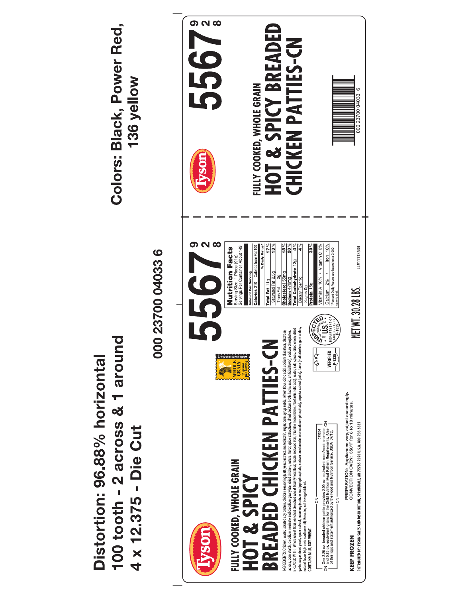**HOT & SPICY BREADED** Colors: Black, Power Red, 5567 **CHICKEN PATTIES-CN** 136 yellow FULLY COOKED, WHOLE GRAIN  $\circ$ 000 23700 04033 vson  $\Omega$   $\Omega$  $\frac{1}{\sqrt{2}}\int_{0}^{\infty}% \frac{1}{\sqrt{2}}\left\vert \frac{\partial f}{\partial \theta }\right\vert ^{2}d\theta$  $10\%$ Serving Size 1 Piece (91g)<br>Servings Per Container About 149  $\frac{8}{18}$ န္တြ /itamin A 10% • Vitamin C 0% **Nutrition Facts** Calcium  $2\%$   $\bullet$  Iron 10%<br>Percent Daily Values are based on a 2,000<br>calorie diet. LL#11113534 000 23700 04033 6 % Daily šodium 470mg<br>Total Carbohydrate 12g Cholesterol 55mg Total Fat  $\frac{110}{110}$ ietary Fiber 10 igars 0g<br>tein 15g Calories 210 NET WT. 30.28 LBS. Serving  $\frac{1}{\sqrt{2}}$ **CORECTED** NGREDIENTS Chicken, water, isolated soy protein, chicken seasoning lsaft, yeast extract, natiodextint, sugar, com syncy sudis, wheat flour, chick acid, sodium diaerate, dextrose,<br>lactose, com stach, discolum inosinate and 100 tooth - 2 across & 1 around **BREADED CHICKEN PATTIES-CN**  $\sqrt{\frac{2}{3}}$ VERIFIED<br>-<sup>P-1325</sup>/ Distortion: 96.88% horizontal **ANTENDRATION** PREPARATION: Appliances vary, adjust accordingly.<br>CONVECTION OVEN: 350°F for 8 to 10 minutes. اب المعروفية التي تتجاوز المعروفية والمعروفية المعروفية المعروفية المعروفية المعروفية المعروفية المعروفية الم<br>and 0.75 oz. equivalent grains for the provides zition Meal Pattern Requirement attemptate on<br>of this logo and DISTRIBUTED BY: TYSON SALES AND DISTRIBUTION, SPRINGDALE, AR 72765-2020 U.S.A. 800-233-6332 4 x 12.375 - Die Cut FULLY COOKED, WHOLE GRAIN **SPICY**  $rac{1}{5}$  $\overline{c}$ HOT & VSO) **KEEP FROZEN**  $\overline{5}$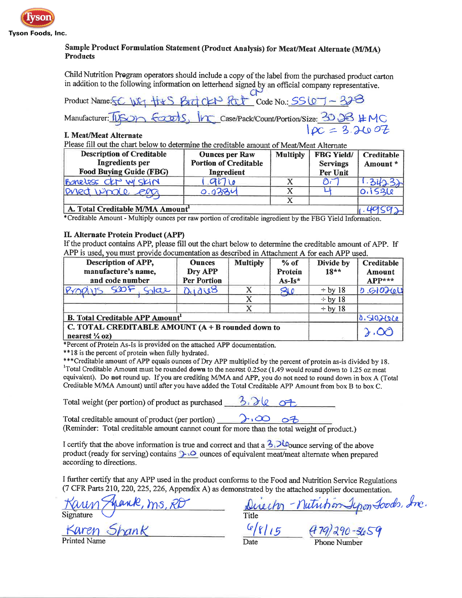

# Sample Product Formulation Statement (Product Analysis) for Meat/Meat Alternate (M/MA) **Products**

Child Nutrition Program operators should include a copy of the label from the purchased product carton in addition to the following information on letterhead signed by an official company representative.

 $\sigma$ Code No.:  $SSQ7 - 378$ Product Name: EC WG  $rac{|r_{\text{C}}|}{|\mathcal{D}C|}$  Case/Pack/Count/Portion/Size:  $\frac{30}{28}$  #MC  $fccots$ Manufacturer: USO

# I. Meat/Meat Alternate

Please fill out the chart below to determine the creditable amount of Meat/Meat Alternate

| <b>Description of Creditable</b><br>Ingredients per<br><b>Food Buying Guide (FBG)</b> | <b>Ounces per Raw</b><br><b>Portion of Creditable</b><br>Ingredient | <b>Multiply</b> | <b>FBG Yield/</b><br><b>Servings</b><br>Per Unit | Creditable<br>Amount* |
|---------------------------------------------------------------------------------------|---------------------------------------------------------------------|-----------------|--------------------------------------------------|-----------------------|
| Boneless OCP W/SKIN                                                                   | 700                                                                 |                 | $\mathcal{D}^{\mathcal{F}}$                      |                       |
| pred whole egg                                                                        | 0.0284                                                              |                 |                                                  | 0.1536                |
|                                                                                       |                                                                     |                 |                                                  |                       |
| A. Total Creditable M/MA Amount                                                       |                                                                     |                 |                                                  |                       |

\*Creditable Amount - Multiply ounces per raw portion of creditable ingredient by the FBG Yield Information.

## II. Alternate Protein Product (APP)

If the product contains APP, please fill out the chart below to determine the creditable amount of APP. If APP is used, you must provide documentation as described in Attachment A for each APP used.

| Description of APP,<br>manufacture's name,<br>and code number                    | <b>Ounces</b><br>Dry APP<br><b>Per Portion</b> | <b>Multiply</b> | $%$ of<br>Protein<br>$As-Is^*$ | Divide by<br>$18**$ | Creditable<br>Amount<br>$APP***$ |
|----------------------------------------------------------------------------------|------------------------------------------------|-----------------|--------------------------------|---------------------|----------------------------------|
| SOF<br>PY0Q115<br>nae                                                            | 0.1018                                         |                 | 20                             | $\div$ by 18        | $0.610$ teu                      |
|                                                                                  |                                                | X               |                                | $\div$ by 18        |                                  |
|                                                                                  |                                                | х               |                                | $\div$ by 18        |                                  |
| <b>B.</b> Total Creditable APP Amount <sup>1</sup>                               |                                                |                 |                                | 0.5102600           |                                  |
| C. TOTAL CREDITABLE AMOUNT $(A + B$ rounded down to<br>nearest $\frac{1}{4}$ oz) |                                                |                 |                                | 1.00                |                                  |

\*Percent of Protein As-Is is provided on the attached APP documentation.

\*\*18 is the percent of protein when fully hydrated.

\*\*\*Creditable amount of APP equals ounces of Dry APP multiplied by the percent of protein as-is divided by 18. <sup>1</sup>Total Creditable Amount must be rounded down to the nearest 0.25oz (1.49 would round down to 1.25 oz meat equivalent). Do not round up. If you are crediting M/MA and APP, you do not need to round down in box A (Total Creditable M/MA Amount) until after you have added the Total Creditable APP Amount from box B to box C.

Total weight (per portion) of product as purchased

Total creditable amount of product (per portion)<br>
(Reminder: Total creditable amount cannot count for more than the total weight of product.) Total creditable amount of product (per portion)

I certify that the above information is true and correct and that a  $3.20$  ounce serving of the above product (ready for serving) contains  $\sum_{i=1}^{n}$  ounces of equivalent meat/meat alternate when prepared according to directions.

I further certify that any APP used in the product conforms to the Food and Nutrition Service Regulations (7 CFR Parts 210, 220, 225, 226, Appendix A) as demonstrated by the attached supplier documentation.

en Shank

Director - Nutrition Ipon Loods, Inc.  $479/29$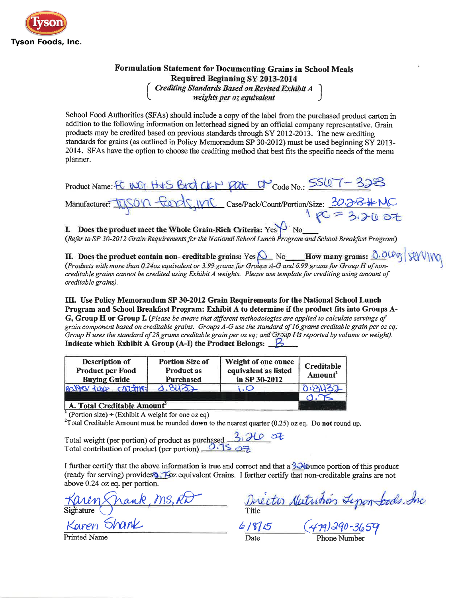

# **Formulation Statement for Documenting Grains in School Meals** Required Beginning SY 2013-2014 Crediting Standards Based on Revised Exhibit A<br>weights per oz equivalent

School Food Authorities (SFAs) should include a copy of the label from the purchased product carton in addition to the following information on letterhead signed by an official company representative. Grain products may be credited based on previous standards through SY 2012-2013. The new crediting standards for grains (as outlined in Policy Memorandum SP 30-2012) must be used beginning SY 2013-2014. SFAs have the option to choose the crediting method that best fits the specific needs of the menu planner.

| Product Name: FC WG H+S Brd CKP Pat C Code No.: SSLOT-328                                |
|------------------------------------------------------------------------------------------|
| Manufacturer: IUSO'n feards, IMC case/Pack/Count/Portion/Size: 30.28#MC<br>$1p = 3.2007$ |
|                                                                                          |

**I.** Does the product meet the Whole Grain-Rich Criteria:  $Yes$  No<br>(Refer to SP 30-2012 Grain Requirements for the National School Lunch Program and School Breakfast Program)

**II.** Does the product contain non-creditable grains: Yes  $\bigcup_{N \in \mathbb{Z}} N_0$  How many grams:  $\bigcap_{N \in \mathbb{Z}} O(\mathbb{P} \mathbb{Q})$   $\bigcap_{N \in \mathbb{Z}} O(\mathbb{P} \mathbb{Q})$  (Products with more than 0.24oz equivalent or 3.99 grams for Groups Acreditable grains cannot be credited using Exhibit A weights. Please use template for crediting using amount of creditable grains).

III. Use Policy Memorandum SP 30-2012 Grain Requirements for the National School Lunch Program and School Breakfast Program: Exhibit A to determine if the product fits into Groups A-G, Group H or Group I. (Please be aware that different methodologies are applied to calculate servings of grain component based on creditable grains. Groups A-G use the standard of 16 grams creditable grain per oz eq; Group H uses the standard of 28 grams creditable grain per oz eq; and Group I is reported by volume or weight). Indicate which Exhibit A Group (A-I) the Product Belongs:  $\beta$ 

| Description of<br><b>Product per Food</b><br><b>Buying Guide</b> | <b>Portion Size of</b><br><b>Product as</b><br><b>Purchased</b> | Weight of one ounce<br>equivalent as listed<br>in SP 30-2012 | Creditable<br>Amount |
|------------------------------------------------------------------|-----------------------------------------------------------------|--------------------------------------------------------------|----------------------|
| BOXTON tube canding                                              | 0. SU32                                                         |                                                              | 81137                |
| Total Craditable Amount                                          |                                                                 |                                                              |                      |

A. Total Creditable Amount

(Portion size)  $\div$  (Exhibit A weight for one oz eq)

<sup>2</sup>Total Creditable Amount must be rounded down to the nearest quarter  $(0.25)$  oz eq. Do not round up.

Total weight (per portion) of product as purchased  $3.20$   $3.7$ <br>Total contribution of product (per portion)  $0.15$   $0.2$ 

I further certify that the above information is true and correct and that a 3 Jipunce portion of this product (ready for serving) provides **6.** Foz equivalent Grains. I further certify that non-creditable grains are not above 0.24 oz eq. per portion.

Karly Shank, MS, RD<br>Signature<br>Karen Shank

Director Nutrition Lepenteds. Inc.<br>Title (479) 290-3659

**Printed Name**